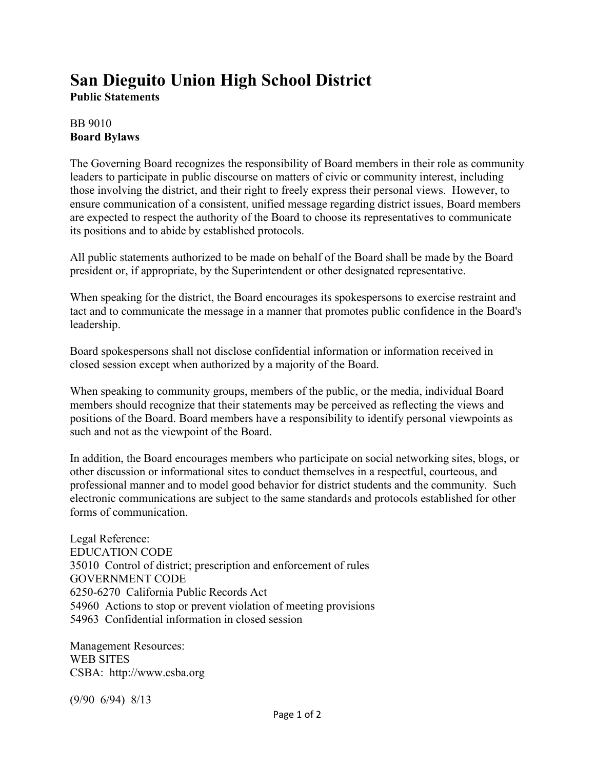## **San Dieguito Union High School District**

**Public Statements**

## BB 9010 **Board Bylaws**

The Governing Board recognizes the responsibility of Board members in their role as community leaders to participate in public discourse on matters of civic or community interest, including those involving the district, and their right to freely express their personal views. However, to ensure communication of a consistent, unified message regarding district issues, Board members are expected to respect the authority of the Board to choose its representatives to communicate its positions and to abide by established protocols.

All public statements authorized to be made on behalf of the Board shall be made by the Board president or, if appropriate, by the Superintendent or other designated representative.

When speaking for the district, the Board encourages its spokespersons to exercise restraint and tact and to communicate the message in a manner that promotes public confidence in the Board's leadership.

Board spokespersons shall not disclose confidential information or information received in closed session except when authorized by a majority of the Board.

When speaking to community groups, members of the public, or the media, individual Board members should recognize that their statements may be perceived as reflecting the views and positions of the Board. Board members have a responsibility to identify personal viewpoints as such and not as the viewpoint of the Board.

In addition, the Board encourages members who participate on social networking sites, blogs, or other discussion or informational sites to conduct themselves in a respectful, courteous, and professional manner and to model good behavior for district students and the community. Such electronic communications are subject to the same standards and protocols established for other forms of communication.

Legal Reference: EDUCATION CODE 35010 Control of district; prescription and enforcement of rules GOVERNMENT CODE 6250-6270 California Public Records Act 54960 Actions to stop or prevent violation of meeting provisions 54963 Confidential information in closed session

Management Resources: WEB SITES CSBA: http://www.csba.org

(9/90 6/94) 8/13